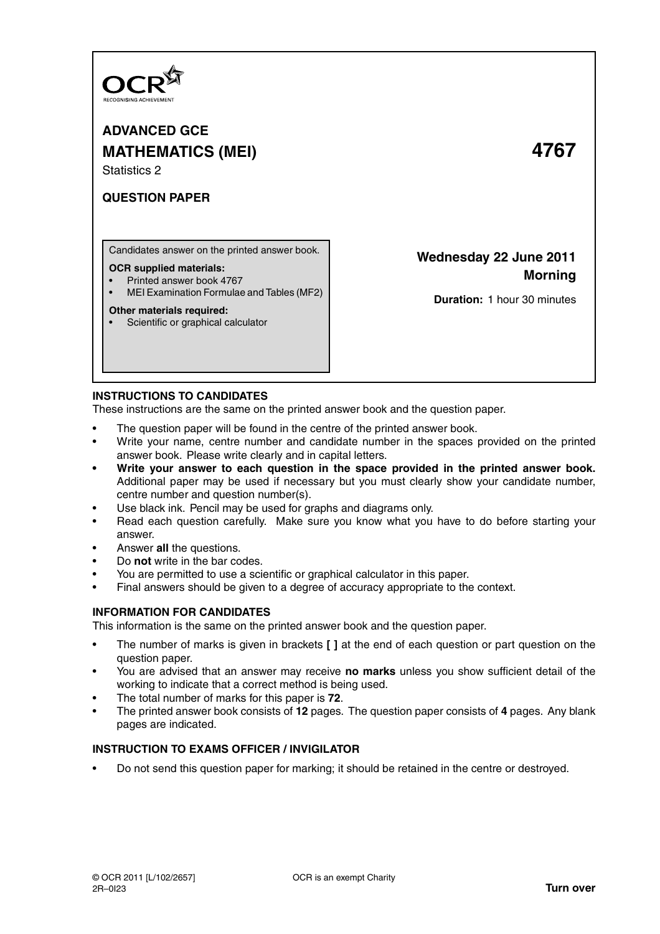

**ADVANCED GCE MATHEMATICS (MEI) 4767** Statistics 2

# **QUESTION PAPER**

Candidates answer on the printed answer book.

#### **OCR supplied materials:**

- Printed answer book 4767
- MEI Examination Formulae and Tables (MF2)

#### **Other materials required:**

• Scientific or graphical calculator

**Wednesday 22 June 2011 Morning**

**Duration:** 1 hour 30 minutes

## **INSTRUCTIONS TO CANDIDATES**

These instructions are the same on the printed answer book and the question paper.

- The question paper will be found in the centre of the printed answer book.
- Write your name, centre number and candidate number in the spaces provided on the printed answer book. Please write clearly and in capital letters.
- **Write your answer to each question in the space provided in the printed answer book.** Additional paper may be used if necessary but you must clearly show your candidate number, centre number and question number(s).
- Use black ink. Pencil may be used for graphs and diagrams only.
- Read each question carefully. Make sure you know what you have to do before starting your answer.
- Answer **all** the questions.
- Do **not** write in the bar codes.
- You are permitted to use a scientific or graphical calculator in this paper.
- Final answers should be given to a degree of accuracy appropriate to the context.

## **INFORMATION FOR CANDIDATES**

This information is the same on the printed answer book and the question paper.

- The number of marks is given in brackets **[ ]** at the end of each question or part question on the question paper.
- You are advised that an answer may receive **no marks** unless you show sufficient detail of the working to indicate that a correct method is being used.
- The total number of marks for this paper is **72**.
- The printed answer book consists of **12** pages. The question paper consists of **4** pages. Any blank pages are indicated.

## **INSTRUCTION TO EXAMS OFFICER / INVIGILATOR**

• Do not send this question paper for marking; it should be retained in the centre or destroyed.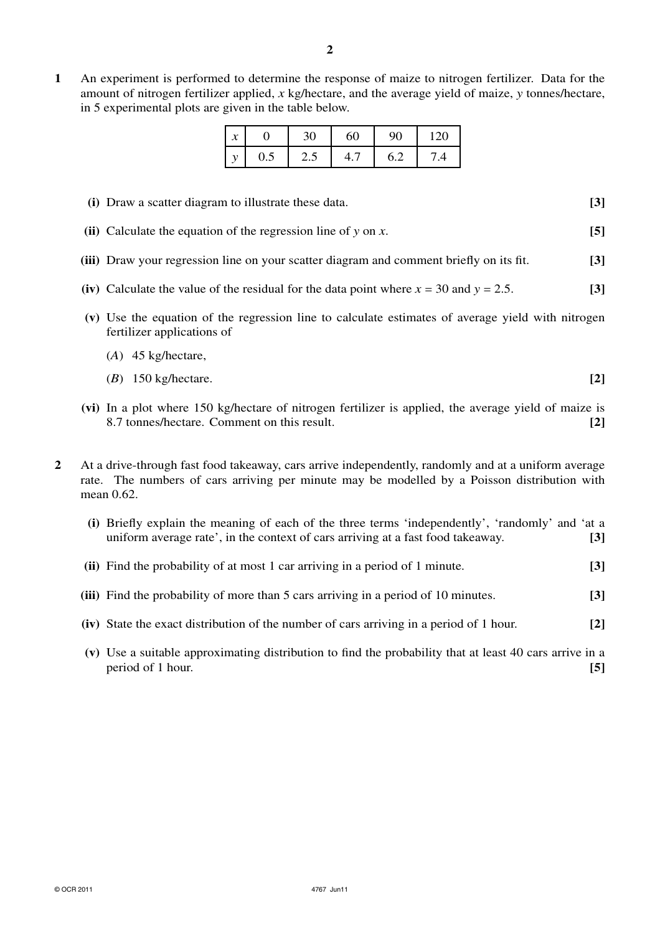**1** An experiment is performed to determine the response of maize to nitrogen fertilizer. Data for the amount of nitrogen fertilizer applied, *x* kg/hectare, and the average yield of maize, *y* tonnes/hectare, in 5 experimental plots are given in the table below.

| $\boldsymbol{x}$ |     | 30  | 60  | 90  | $\overline{20}$ |
|------------------|-----|-----|-----|-----|-----------------|
| 11               | 0.5 | 2.5 | ┭., | 6.2 |                 |

- **(i)** Draw a scatter diagram to illustrate these data. **[3]**
- **(ii)** Calculate the equation of the regression line of *y* on *x*. **[5]**
- **(iii)** Draw your regression line on your scatter diagram and comment briefly on its fit. **[3]**
- **(iv)** Calculate the value of the residual for the data point where  $x = 30$  and  $y = 2.5$ . [3]
- **(v)** Use the equation of the regression line to calculate estimates of average yield with nitrogen fertilizer applications of
	- (*A*) 45 kg/hectare,
	- (*B*) 150 kg/hectare. **[2]**
- **(vi)** In a plot where 150 kg/hectare of nitrogen fertilizer is applied, the average yield of maize is 8.7 tonnes/hectare. Comment on this result. **[2]**
- **2** At a drive-through fast food takeaway, cars arrive independently, randomly and at a uniform average rate. The numbers of cars arriving per minute may be modelled by a Poisson distribution with mean 0.62.
	- **(i)** Briefly explain the meaning of each of the three terms 'independently', 'randomly' and 'at a uniform average rate', in the context of cars arriving at a fast food takeaway. **[3] (ii)** Find the probability of at most 1 car arriving in a period of 1 minute. **[3]**
	-
	- **(iii)** Find the probability of more than 5 cars arriving in a period of 10 minutes. **[3]**
	- **(iv)** State the exact distribution of the number of cars arriving in a period of 1 hour. **[2]**
	- **(v)** Use a suitable approximating distribution to find the probability that at least 40 cars arrive in a period of 1 hour. **[5]**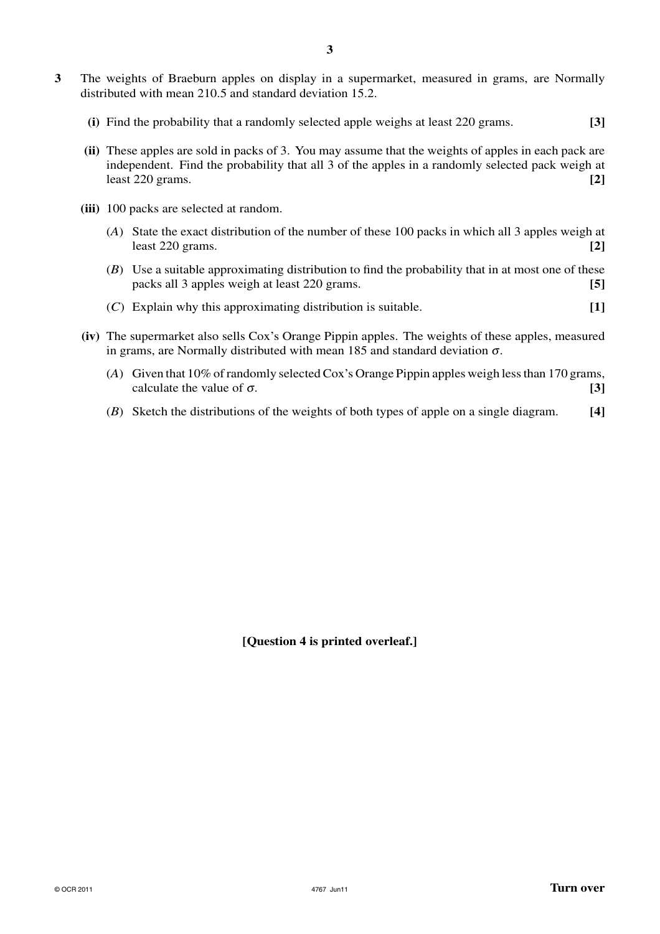- **3** The weights of Braeburn apples on display in a supermarket, measured in grams, are Normally distributed with mean 210.5 and standard deviation 15.2.
	- **(i)** Find the probability that a randomly selected apple weighs at least 220 grams. **[3]**
	- **(ii)** These apples are sold in packs of 3. You may assume that the weights of apples in each pack are independent. Find the probability that all 3 of the apples in a randomly selected pack weigh at least 220 grams. **[2]**
	- **(iii)** 100 packs are selected at random.
		- (*A*) State the exact distribution of the number of these 100 packs in which all 3 apples weigh at least 220 grams. **[2]**
		- (*B*) Use a suitable approximating distribution to find the probability that in at most one of these packs all 3 apples weigh at least 220 grams. **[5]**
		- (*C*) Explain why this approximating distribution is suitable. **[1]**
	- **(iv)** The supermarket also sells Cox's Orange Pippin apples. The weights of these apples, measured in grams, are Normally distributed with mean 185 and standard deviation  $\sigma$ .
		- (*A*) Given that 10% of randomly selected Cox's Orange Pippin apples weigh less than 170 grams, calculate the value of  $\sigma$ . **[3] [3]**
		- (*B*) Sketch the distributions of the weights of both types of apple on a single diagram. **[4]**

**[Question 4 is printed overleaf.]**